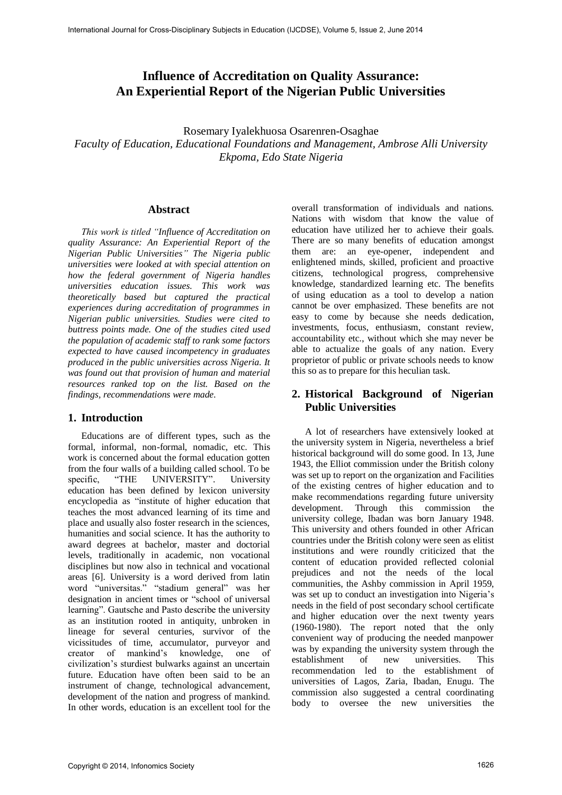# **Influence of Accreditation on Quality Assurance: An Experiential Report of the Nigerian Public Universities**

Rosemary Iyalekhuosa Osarenren-Osaghae *Faculty of Education, Educational Foundations and Management, Ambrose Alli University Ekpoma, Edo State Nigeria* 

#### **Abstract**

*This work is titled "Influence of Accreditation on quality Assurance: An Experiential Report of the Nigerian Public Universities" The Nigeria public universities were looked at with special attention on how the federal government of Nigeria handles universities education issues. This work was theoretically based but captured the practical experiences during accreditation of programmes in Nigerian public universities. Studies were cited to buttress points made. One of the studies cited used the population of academic staff to rank some factors expected to have caused incompetency in graduates produced in the public universities across Nigeria. It was found out that provision of human and material resources ranked top on the list. Based on the findings, recommendations were made.* 

#### **1. Introduction**

Educations are of different types, such as the formal, informal, non-formal, nomadic, etc. This work is concerned about the formal education gotten from the four walls of a building called school. To be specific, "THE UNIVERSITY". University education has been defined by lexicon university encyclopedia as "institute of higher education that teaches the most advanced learning of its time and place and usually also foster research in the sciences, humanities and social science. It has the authority to award degrees at bachelor, master and doctorial levels, traditionally in academic, non vocational disciplines but now also in technical and vocational areas [6]. University is a word derived from latin word "universitas." "stadium general" was her designation in ancient times or "school of universal learning". Gautsche and Pasto describe the university as an institution rooted in antiquity, unbroken in lineage for several centuries, survivor of the vicissitudes of time, accumulator, purveyor and creator of mankind's knowledge, one of civilization's sturdiest bulwarks against an uncertain future. Education have often been said to be an instrument of change, technological advancement, development of the nation and progress of mankind. In other words, education is an excellent tool for the

overall transformation of individuals and nations. Nations with wisdom that know the value of education have utilized her to achieve their goals. There are so many benefits of education amongst them are: an eye-opener, independent and enlightened minds, skilled, proficient and proactive citizens, technological progress, comprehensive knowledge, standardized learning etc. The benefits of using education as a tool to develop a nation cannot be over emphasized. These benefits are not easy to come by because she needs dedication, investments, focus, enthusiasm, constant review, accountability etc., without which she may never be able to actualize the goals of any nation. Every proprietor of public or private schools needs to know this so as to prepare for this heculian task.

#### **2. Historical Background of Nigerian Public Universities**

A lot of researchers have extensively looked at the university system in Nigeria, nevertheless a brief historical background will do some good. In 13, June 1943, the Elliot commission under the British colony was set up to report on the organization and Facilities of the existing centres of higher education and to make recommendations regarding future university development. Through this commission the university college, Ibadan was born January 1948. This university and others founded in other African countries under the British colony were seen as elitist institutions and were roundly criticized that the content of education provided reflected colonial prejudices and not the needs of the local communities, the Ashby commission in April 1959, was set up to conduct an investigation into Nigeria's needs in the field of post secondary school certificate and higher education over the next twenty years (1960-1980). The report noted that the only convenient way of producing the needed manpower was by expanding the university system through the establishment of new universities. This recommendation led to the establishment of universities of Lagos, Zaria, Ibadan, Enugu. The commission also suggested a central coordinating body to oversee the new universities the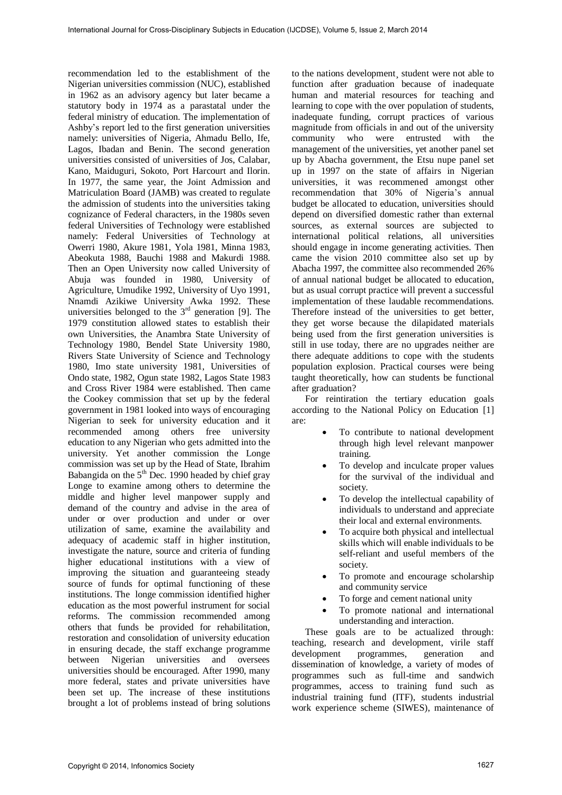recommendation led to the establishment of the Nigerian universities commission (NUC), established in 1962 as an advisory agency but later became a statutory body in 1974 as a parastatal under the federal ministry of education. The implementation of Ashby's report led to the first generation universities namely: universities of Nigeria, Ahmadu Bello, Ife, Lagos, Ibadan and Benin. The second generation universities consisted of universities of Jos, Calabar, Kano, Maiduguri, Sokoto, Port Harcourt and Ilorin. In 1977, the same year, the Joint Admission and Matriculation Board (JAMB) was created to regulate the admission of students into the universities taking cognizance of Federal characters, in the 1980s seven federal Universities of Technology were established namely: Federal Universities of Technology at Owerri 1980, Akure 1981, Yola 1981, Minna 1983, Abeokuta 1988, Bauchi 1988 and Makurdi 1988. Then an Open University now called University of Abuja was founded in 1980, University of Agriculture, Umudike 1992, University of Uyo 1991, Nnamdi Azikiwe University Awka 1992. These universities belonged to the  $3<sup>rd</sup>$  generation [9]. The 1979 constitution allowed states to establish their own Universities, the Anambra State University of Technology 1980, Bendel State University 1980, Rivers State University of Science and Technology 1980, Imo state university 1981, Universities of Ondo state, 1982, Ogun state 1982, Lagos State 1983 and Cross River 1984 were established. Then came the Cookey commission that set up by the federal government in 1981 looked into ways of encouraging Nigerian to seek for university education and it recommended among others free university education to any Nigerian who gets admitted into the university. Yet another commission the Longe commission was set up by the Head of State, Ibrahim Babangida on the  $5<sup>th</sup>$  Dec. 1990 headed by chief gray Longe to examine among others to determine the middle and higher level manpower supply and demand of the country and advise in the area of under or over production and under or over utilization of same, examine the availability and adequacy of academic staff in higher institution, investigate the nature, source and criteria of funding higher educational institutions with a view of improving the situation and guaranteeing steady source of funds for optimal functioning of these institutions. The longe commission identified higher education as the most powerful instrument for social reforms. The commission recommended among others that funds be provided for rehabilitation, restoration and consolidation of university education in ensuring decade, the staff exchange programme between Nigerian universities and oversees universities should be encouraged. After 1990, many more federal, states and private universities have been set up. The increase of these institutions brought a lot of problems instead of bring solutions

to the nations development¸ student were not able to function after graduation because of inadequate human and material resources for teaching and learning to cope with the over population of students, inadequate funding, corrupt practices of various magnitude from officials in and out of the university community who were entrusted with the management of the universities, yet another panel set up by Abacha government, the Etsu nupe panel set up in 1997 on the state of affairs in Nigerian universities, it was recommened amongst other recommendation that 30% of Nigeria's annual budget be allocated to education, universities should depend on diversified domestic rather than external sources, as external sources are subjected to international political relations, all universities should engage in income generating activities. Then came the vision 2010 committee also set up by Abacha 1997, the committee also recommended 26% of annual national budget be allocated to education, but as usual corrupt practice will prevent a successful implementation of these laudable recommendations. Therefore instead of the universities to get better, they get worse because the dilapidated materials being used from the first generation universities is still in use today, there are no upgrades neither are there adequate additions to cope with the students population explosion. Practical courses were being taught theoretically, how can students be functional after graduation?

For reintiration the tertiary education goals according to the National Policy on Education [1] are:

- To contribute to national development through high level relevant manpower training.
- To develop and inculcate proper values for the survival of the individual and society.
- To develop the intellectual capability of individuals to understand and appreciate their local and external environments.
- To acquire both physical and intellectual skills which will enable individuals to be self-reliant and useful members of the society.
- To promote and encourage scholarship and community service
- To forge and cement national unity
- To promote national and international understanding and interaction.

These goals are to be actualized through: teaching, research and development, virile staff development programmes, generation and dissemination of knowledge, a variety of modes of programmes such as full-time and sandwich programmes, access to training fund such as industrial training fund (ITF), students industrial work experience scheme (SIWES), maintenance of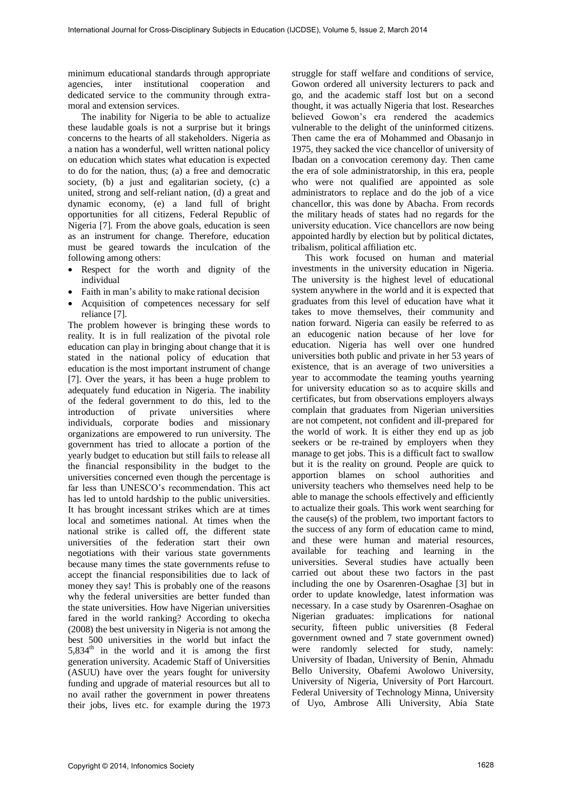minimum educational standards through appropriate agencies, inter institutional cooperation and dedicated service to the community through extramoral and extension services.

The inability for Nigeria to be able to actualize these laudable goals is not a surprise but it brings concerns to the hearts of all stakeholders. Nigeria as a nation has a wonderful, well written national policy on education which states what education is expected to do for the nation, thus; (a) a free and democratic society, (b) a just and egalitarian society, (c) a united, strong and self-reliant nation, (d) a great and dynamic economy, (e) a land full of bright opportunities for all citizens, Federal Republic of Nigeria [7]. From the above goals, education is seen as an instrument for change. Therefore, education must be geared towards the inculcation of the following among others:

- Respect for the worth and dignity of the individual
- Faith in man's ability to make rational decision
- Acquisition of competences necessary for self reliance [7].

The problem however is bringing these words to reality. It is in full realization of the pivotal role education can play in bringing about change that it is stated in the national policy of education that education is the most important instrument of change [7]. Over the years, it has been a huge problem to adequately fund education in Nigeria. The inability of the federal government to do this, led to the introduction of private universities where individuals, corporate bodies and missionary organizations are empowered to run university. The government has tried to allocate a portion of the yearly budget to education but still fails to release all the financial responsibility in the budget to the universities concerned even though the percentage is far less than UNESCO's recommendation. This act has led to untold hardship to the public universities. It has brought incessant strikes which are at times local and sometimes national. At times when the national strike is called off, the different state universities of the federation start their own negotiations with their various state governments because many times the state governments refuse to accept the financial responsibilities due to lack of money they say! This is probably one of the reasons why the federal universities are better funded than the state universities. How have Nigerian universities fared in the world ranking? According to okecha (2008) the best university in Nigeria is not among the best 500 universities in the world but infact the  $5,834<sup>th</sup>$  in the world and it is among the first generation university. Academic Staff of Universities (ASUU) have over the years fought for university funding and upgrade of material resources but all to no avail rather the government in power threatens their jobs, lives etc. for example during the 1973

struggle for staff welfare and conditions of service, Gowon ordered all university lecturers to pack and go, and the academic staff lost but on a second thought, it was actually Nigeria that lost. Researches believed Gowon's era rendered the academics vulnerable to the delight of the uninformed citizens. Then came the era of Mohammed and Obasanjo in 1975, they sacked the vice chancellor of university of Ibadan on a convocation ceremony day. Then came the era of sole administratorship, in this era, people who were not qualified are appointed as sole administrators to replace and do the job of a vice chancellor, this was done by Abacha. From records the military heads of states had no regards for the university education. Vice chancellors are now being appointed hardly by election but by political dictates, tribalism, political affiliation etc.

This work focused on human and material investments in the university education in Nigeria. The university is the highest level of educational system anywhere in the world and it is expected that graduates from this level of education have what it takes to move themselves, their community and nation forward. Nigeria can easily be referred to as an educogenic nation because of her love for education. Nigeria has well over one hundred universities both public and private in her 53 years of existence, that is an average of two universities a year to accommodate the teaming youths yearning for university education so as to acquire skills and certificates, but from observations employers always complain that graduates from Nigerian universities are not competent, not confident and ill-prepared for the world of work. It is either they end up as job seekers or be re-trained by employers when they manage to get jobs. This is a difficult fact to swallow but it is the reality on ground. People are quick to apportion blames on school authorities and university teachers who themselves need help to be able to manage the schools effectively and efficiently to actualize their goals. This work went searching for the cause(s) of the problem, two important factors to the success of any form of education came to mind, and these were human and material resources, available for teaching and learning in the universities. Several studies have actually been carried out about these two factors in the past including the one by Osarenren-Osaghae [3] but in order to update knowledge, latest information was necessary. In a case study by Osarenren-Osaghae on Nigerian graduates: implications for national security, fifteen public universities (8 Federal government owned and 7 state government owned) were randomly selected for study, namely: University of Ibadan, University of Benin, Ahmadu Bello University, Obafemi Awolowo University, University of Nigeria, University of Port Harcourt. Federal University of Technology Minna, University of Uyo, Ambrose Alli University, Abia State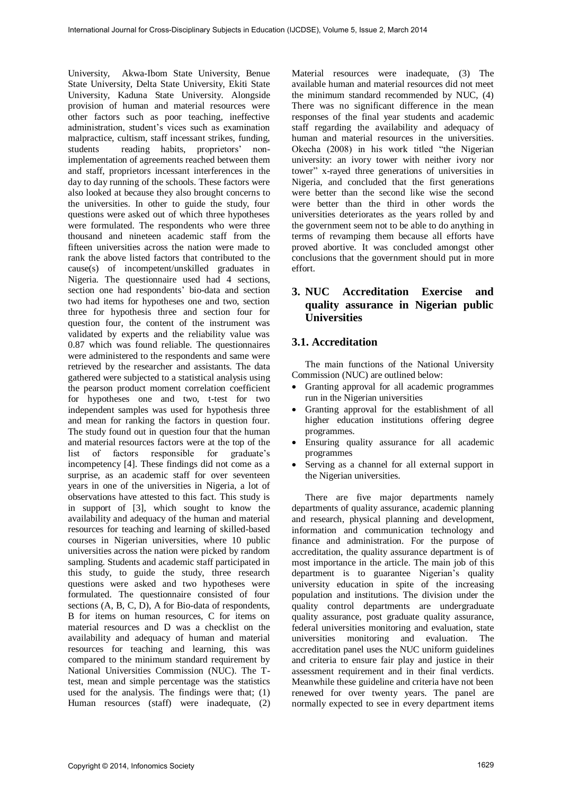University, Akwa-Ibom State University, Benue State University, Delta State University, Ekiti State University, Kaduna State University. Alongside provision of human and material resources were other factors such as poor teaching, ineffective administration, student's vices such as examination malpractice, cultism, staff incessant strikes, funding, students reading habits, proprietors' nonimplementation of agreements reached between them and staff, proprietors incessant interferences in the day to day running of the schools. These factors were also looked at because they also brought concerns to the universities. In other to guide the study, four questions were asked out of which three hypotheses were formulated. The respondents who were three thousand and nineteen academic staff from the fifteen universities across the nation were made to rank the above listed factors that contributed to the cause(s) of incompetent/unskilled graduates in Nigeria. The questionnaire used had 4 sections, section one had respondents' bio-data and section two had items for hypotheses one and two, section three for hypothesis three and section four for question four, the content of the instrument was validated by experts and the reliability value was 0.87 which was found reliable. The questionnaires were administered to the respondents and same were retrieved by the researcher and assistants. The data gathered were subjected to a statistical analysis using the pearson product moment correlation coefficient for hypotheses one and two, t-test for two independent samples was used for hypothesis three and mean for ranking the factors in question four. The study found out in question four that the human and material resources factors were at the top of the list of factors responsible for graduate's incompetency [4]. These findings did not come as a surprise, as an academic staff for over seventeen years in one of the universities in Nigeria, a lot of observations have attested to this fact. This study is in support of [3], which sought to know the availability and adequacy of the human and material resources for teaching and learning of skilled-based courses in Nigerian universities, where 10 public universities across the nation were picked by random sampling. Students and academic staff participated in this study, to guide the study, three research questions were asked and two hypotheses were formulated. The questionnaire consisted of four sections (A, B, C, D), A for Bio-data of respondents, B for items on human resources, C for items on material resources and D was a checklist on the availability and adequacy of human and material resources for teaching and learning, this was compared to the minimum standard requirement by National Universities Commission (NUC). The Ttest, mean and simple percentage was the statistics used for the analysis. The findings were that; (1) Human resources (staff) were inadequate, (2)

Material resources were inadequate, (3) The available human and material resources did not meet the minimum standard recommended by NUC, (4) There was no significant difference in the mean responses of the final year students and academic staff regarding the availability and adequacy of human and material resources in the universities. Okecha (2008) in his work titled "the Nigerian university: an ivory tower with neither ivory nor tower" x-rayed three generations of universities in Nigeria, and concluded that the first generations were better than the second like wise the second were better than the third in other words the universities deteriorates as the years rolled by and the government seem not to be able to do anything in terms of revamping them because all efforts have proved abortive. It was concluded amongst other conclusions that the government should put in more effort.

# **3. NUC Accreditation Exercise and quality assurance in Nigerian public Universities**

## **3.1. Accreditation**

The main functions of the National University Commission (NUC) are outlined below:

- Granting approval for all academic programmes run in the Nigerian universities
- Granting approval for the establishment of all higher education institutions offering degree programmes.
- Ensuring quality assurance for all academic programmes
- Serving as a channel for all external support in the Nigerian universities.

There are five major departments namely departments of quality assurance, academic planning and research, physical planning and development, information and communication technology and finance and administration. For the purpose of accreditation, the quality assurance department is of most importance in the article. The main job of this department is to guarantee Nigerian's quality university education in spite of the increasing population and institutions. The division under the quality control departments are undergraduate quality assurance, post graduate quality assurance, federal universities monitoring and evaluation, state universities monitoring and evaluation. The accreditation panel uses the NUC uniform guidelines and criteria to ensure fair play and justice in their assessment requirement and in their final verdicts. Meanwhile these guideline and criteria have not been renewed for over twenty years. The panel are normally expected to see in every department items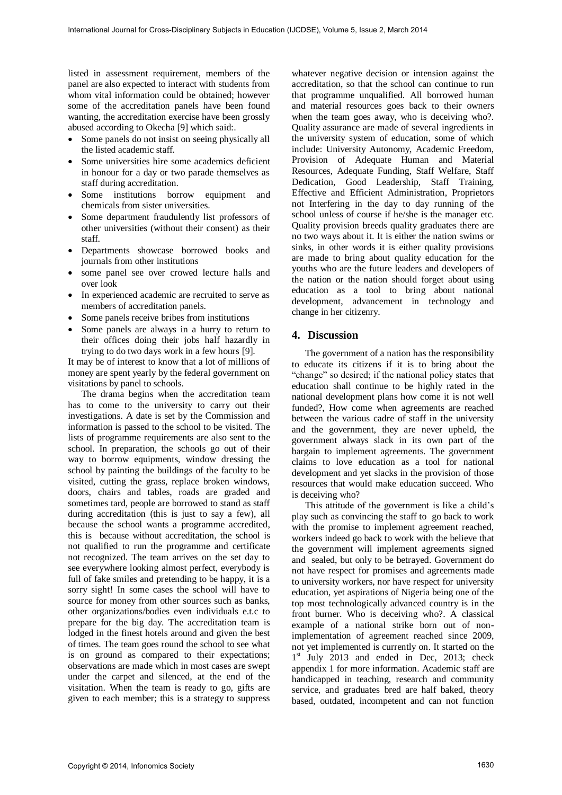listed in assessment requirement, members of the panel are also expected to interact with students from whom vital information could be obtained; however some of the accreditation panels have been found wanting, the accreditation exercise have been grossly abused according to Okecha [9] which said:.

- Some panels do not insist on seeing physically all the listed academic staff.
- Some universities hire some academics deficient in honour for a day or two parade themselves as staff during accreditation.
- Some institutions borrow equipment and chemicals from sister universities.
- Some department fraudulently list professors of other universities (without their consent) as their staff.
- Departments showcase borrowed books and journals from other institutions
- some panel see over crowed lecture halls and over look
- In experienced academic are recruited to serve as members of accreditation panels.
- Some panels receive bribes from institutions
- Some panels are always in a hurry to return to their offices doing their jobs half hazardly in trying to do two days work in a few hours [9].

It may be of interest to know that a lot of millions of money are spent yearly by the federal government on visitations by panel to schools.

The drama begins when the accreditation team has to come to the university to carry out their investigations. A date is set by the Commission and information is passed to the school to be visited. The lists of programme requirements are also sent to the school. In preparation, the schools go out of their way to borrow equipments, window dressing the school by painting the buildings of the faculty to be visited, cutting the grass, replace broken windows, doors, chairs and tables, roads are graded and sometimes tard, people are borrowed to stand as staff during accreditation (this is just to say a few), all because the school wants a programme accredited, this is because without accreditation, the school is not qualified to run the programme and certificate not recognized. The team arrives on the set day to see everywhere looking almost perfect, everybody is full of fake smiles and pretending to be happy, it is a sorry sight! In some cases the school will have to source for money from other sources such as banks, other organizations/bodies even individuals e.t.c to prepare for the big day. The accreditation team is lodged in the finest hotels around and given the best of times. The team goes round the school to see what is on ground as compared to their expectations; observations are made which in most cases are swept under the carpet and silenced, at the end of the visitation. When the team is ready to go, gifts are given to each member; this is a strategy to suppress

whatever negative decision or intension against the accreditation, so that the school can continue to run that programme unqualified. All borrowed human and material resources goes back to their owners when the team goes away, who is deceiving who?. Quality assurance are made of several ingredients in the university system of education, some of which include: University Autonomy, Academic Freedom, Provision of Adequate Human and Material Resources, Adequate Funding, Staff Welfare, Staff Dedication, Good Leadership, Staff Training, Effective and Efficient Administration, Proprietors not Interfering in the day to day running of the school unless of course if he/she is the manager etc. Quality provision breeds quality graduates there are no two ways about it. It is either the nation swims or sinks, in other words it is either quality provisions are made to bring about quality education for the youths who are the future leaders and developers of the nation or the nation should forget about using education as a tool to bring about national development, advancement in technology and change in her citizenry.

#### **4. Discussion**

The government of a nation has the responsibility to educate its citizens if it is to bring about the "change" so desired; if the national policy states that education shall continue to be highly rated in the national development plans how come it is not well funded?, How come when agreements are reached between the various cadre of staff in the university and the government, they are never upheld, the government always slack in its own part of the bargain to implement agreements. The government claims to love education as a tool for national development and yet slacks in the provision of those resources that would make education succeed. Who is deceiving who?

This attitude of the government is like a child's play such as convincing the staff to go back to work with the promise to implement agreement reached. workers indeed go back to work with the believe that the government will implement agreements signed and sealed, but only to be betrayed. Government do not have respect for promises and agreements made to university workers, nor have respect for university education, yet aspirations of Nigeria being one of the top most technologically advanced country is in the front burner. Who is deceiving who?. A classical example of a national strike born out of nonimplementation of agreement reached since 2009, not yet implemented is currently on. It started on the 1<sup>st</sup> July 2013 and ended in Dec, 2013; check appendix 1 for more information. Academic staff are handicapped in teaching, research and community service, and graduates bred are half baked, theory based, outdated, incompetent and can not function